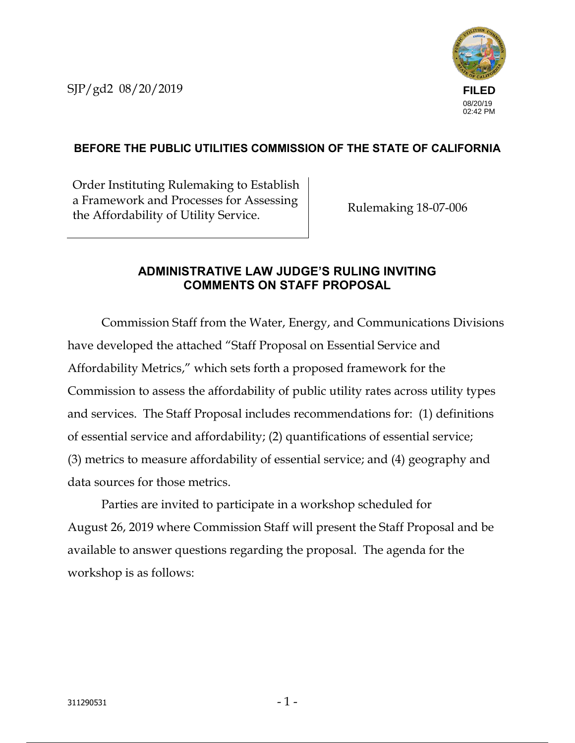SJP/gd2 08/20/2019



## **BEFORE THE PUBLIC UTILITIES COMMISSION OF THE STATE OF CALIFORNIA**

Order Instituting Rulemaking to Establish a Framework and Processes for Assessing a Francesco Rulemaking 18-07-006<br>the Affordability of Utility Service.

## **ADMINISTRATIVE LAW JUDGE'S RULING INVITING COMMENTS ON STAFF PROPOSAL**

Commission Staff from the Water, Energy, and Communications Divisions have developed the attached "Staff Proposal on Essential Service and Affordability Metrics," which sets forth a proposed framework for the Commission to assess the affordability of public utility rates across utility types and services. The Staff Proposal includes recommendations for: (1) definitions of essential service and affordability; (2) quantifications of essential service; (3) metrics to measure affordability of essential service; and (4) geography and data sources for those metrics.

Parties are invited to participate in a workshop scheduled for August 26, 2019 where Commission Staff will present the Staff Proposal and be available to answer questions regarding the proposal. The agenda for the workshop is as follows: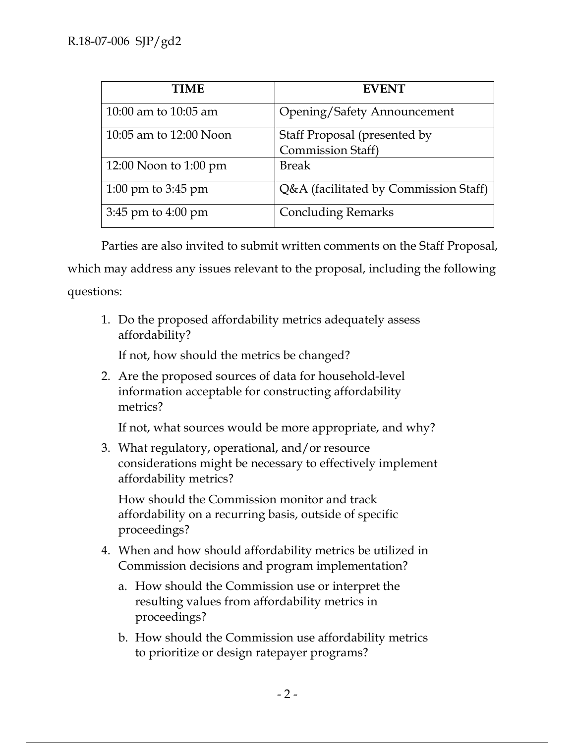| <b>TIME</b>            | <b>EVENT</b>                                             |
|------------------------|----------------------------------------------------------|
| 10:00 am to 10:05 am   | <b>Opening/Safety Announcement</b>                       |
| 10:05 am to 12:00 Noon | Staff Proposal (presented by<br><b>Commission Staff)</b> |
| 12:00 Noon to 1:00 pm  | <b>Break</b>                                             |
| 1:00 pm to 3:45 pm     | Q&A (facilitated by Commission Staff)                    |
| $3:45$ pm to $4:00$ pm | <b>Concluding Remarks</b>                                |

Parties are also invited to submit written comments on the Staff Proposal, which may address any issues relevant to the proposal, including the following questions:

1. Do the proposed affordability metrics adequately assess affordability?

If not, how should the metrics be changed?

2. Are the proposed sources of data for household-level information acceptable for constructing affordability metrics?

If not, what sources would be more appropriate, and why?

3. What regulatory, operational, and/or resource considerations might be necessary to effectively implement affordability metrics?

How should the Commission monitor and track affordability on a recurring basis, outside of specific proceedings?

- 4. When and how should affordability metrics be utilized in Commission decisions and program implementation?
	- a. How should the Commission use or interpret the resulting values from affordability metrics in proceedings?
	- b. How should the Commission use affordability metrics to prioritize or design ratepayer programs?